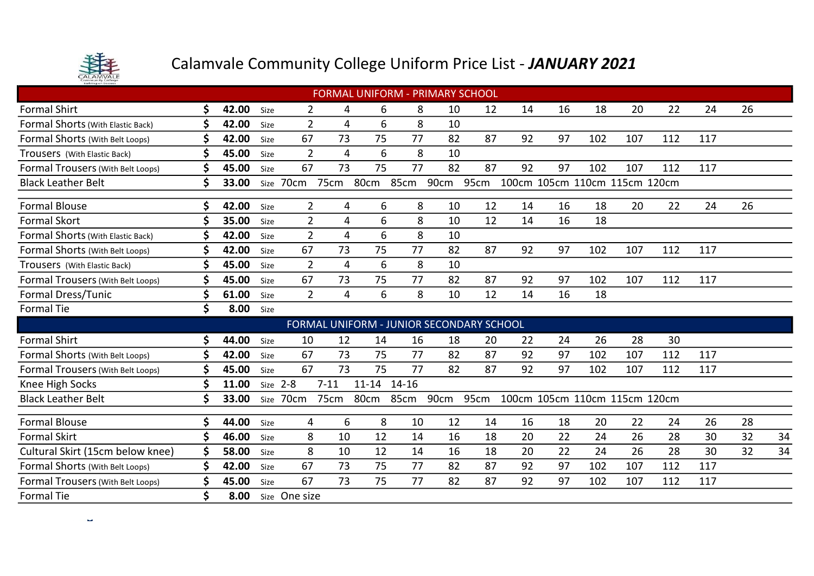

# Calamvale Community College Uniform Price List - JANUARY 2021

|                                   |    |       |      |                |          | <b>FORMAL UNIFORM - PRIMARY SCHOOL</b>   |       |      |      |                               |    |     |     |     |     |    |    |
|-----------------------------------|----|-------|------|----------------|----------|------------------------------------------|-------|------|------|-------------------------------|----|-----|-----|-----|-----|----|----|
| <b>Formal Shirt</b>               |    | 42.00 | Size | $\overline{2}$ | 4        | 6                                        | 8     | 10   | 12   | 14                            | 16 | 18  | 20  | 22  | 24  | 26 |    |
| Formal Shorts (With Elastic Back) |    | 42.00 | Size | $\overline{2}$ | 4        | 6                                        | 8     | 10   |      |                               |    |     |     |     |     |    |    |
| Formal Shorts (With Belt Loops)   |    | 42.00 | Size | 67             | 73       | 75                                       | 77    | 82   | 87   | 92                            | 97 | 102 | 107 | 112 | 117 |    |    |
| Trousers (With Elastic Back)      |    | 45.00 | Size | $\overline{2}$ | 4        | 6                                        | 8     | 10   |      |                               |    |     |     |     |     |    |    |
| Formal Trousers (With Belt Loops) |    | 45.00 | Size | 67             | 73       | 75                                       | 77    | 82   | 87   | 92                            | 97 | 102 | 107 | 112 | 117 |    |    |
| <b>Black Leather Belt</b>         |    | 33.00 | Size | 70cm           | 75cm     | 80cm                                     | 85cm  | 90cm | 95cm | 100cm 105cm 110cm 115cm 120cm |    |     |     |     |     |    |    |
| <b>Formal Blouse</b>              | Ŝ. | 42.00 | Size | $\overline{2}$ | 4        | 6                                        | 8     | 10   | 12   | 14                            | 16 | 18  | 20  | 22  | 24  | 26 |    |
| <b>Formal Skort</b>               |    | 35.00 | Size | $\overline{2}$ | 4        | 6                                        | 8     | 10   | 12   | 14                            | 16 | 18  |     |     |     |    |    |
| Formal Shorts (With Elastic Back) |    | 42.00 | Size | $\overline{2}$ | 4        | 6                                        | 8     | 10   |      |                               |    |     |     |     |     |    |    |
| Formal Shorts (With Belt Loops)   |    | 42.00 | Size | 67             | 73       | 75                                       | 77    | 82   | 87   | 92                            | 97 | 102 | 107 | 112 | 117 |    |    |
| Trousers (With Elastic Back)      |    | 45.00 | Size | $\overline{2}$ | 4        | 6                                        | 8     | 10   |      |                               |    |     |     |     |     |    |    |
| Formal Trousers (With Belt Loops) |    | 45.00 | Size | 67             | 73       | 75                                       | 77    | 82   | 87   | 92                            | 97 | 102 | 107 | 112 | 117 |    |    |
| Formal Dress/Tunic                |    | 61.00 | Size | $\overline{2}$ | 4        | 6                                        | 8     | 10   | 12   | 14                            | 16 | 18  |     |     |     |    |    |
| <b>Formal Tie</b>                 | \$ | 8.00  | Size |                |          |                                          |       |      |      |                               |    |     |     |     |     |    |    |
|                                   |    |       |      |                |          | FORMAL UNIFORM - JUNIOR SECONDARY SCHOOL |       |      |      |                               |    |     |     |     |     |    |    |
| <b>Formal Shirt</b>               | Ŝ. | 44.00 | Size | 10             | 12       | 14                                       | 16    | 18   | 20   | 22                            | 24 | 26  | 28  | 30  |     |    |    |
| Formal Shorts (With Belt Loops)   | \$ | 42.00 | Size | 67             | 73       | 75                                       | 77    | 82   | 87   | 92                            | 97 | 102 | 107 | 112 | 117 |    |    |
| Formal Trousers (With Belt Loops) | \$ | 45.00 | Size | 67             | 73       | 75                                       | 77    | 82   | 87   | 92                            | 97 | 102 | 107 | 112 | 117 |    |    |
| Knee High Socks                   |    | 11.00 | Size | $2 - 8$        | $7 - 11$ | $11 - 14$                                | 14-16 |      |      |                               |    |     |     |     |     |    |    |
| <b>Black Leather Belt</b>         | \$ | 33.00 | Size | 70cm           | 75cm     | 80cm                                     | 85cm  | 90cm | 95cm | 100cm 105cm 110cm 115cm 120cm |    |     |     |     |     |    |    |
| <b>Formal Blouse</b>              | \$ | 44.00 | Size | 4              | 6        | 8                                        | 10    | 12   | 14   | 16                            | 18 | 20  | 22  | 24  | 26  | 28 |    |
| <b>Formal Skirt</b>               | Ś  | 46.00 | Size | 8              | 10       | 12                                       | 14    | 16   | 18   | 20                            | 22 | 24  | 26  | 28  | 30  | 32 | 34 |
| Cultural Skirt (15cm below knee)  |    | 58.00 | Size | 8              | 10       | 12                                       | 14    | 16   | 18   | 20                            | 22 | 24  | 26  | 28  | 30  | 32 | 34 |
| Formal Shorts (With Belt Loops)   | \$ | 42.00 | Size | 67             | 73       | 75                                       | 77    | 82   | 87   | 92                            | 97 | 102 | 107 | 112 | 117 |    |    |
| Formal Trousers (With Belt Loops) |    | 45.00 | Size | 67             | 73       | 75                                       | 77    | 82   | 87   | 92                            | 97 | 102 | 107 | 112 | 117 |    |    |
| <b>Formal Tie</b>                 | Ś. | 8.00  |      | Size One size  |          |                                          |       |      |      |                               |    |     |     |     |     |    |    |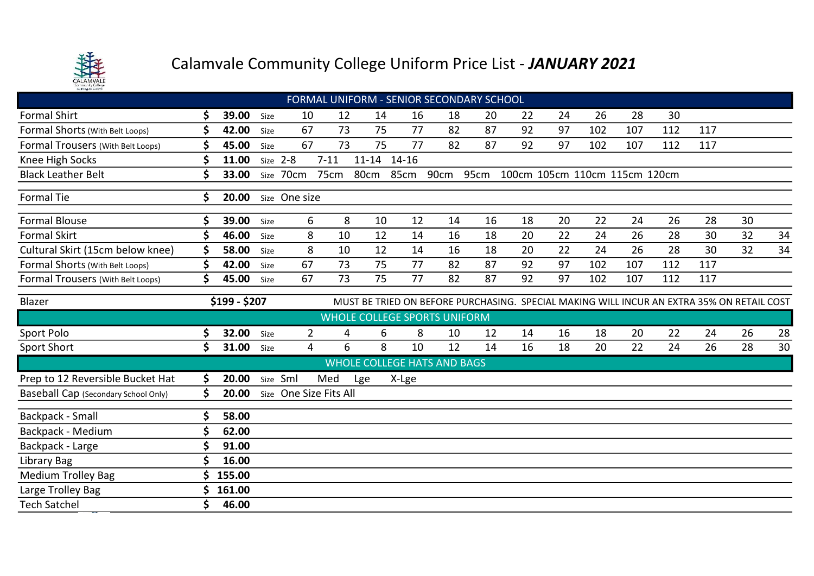

# Calamvale Community College Uniform Price List - JANUARY 2021

| FORMAL UNIFORM - SENIOR SECONDARY SCHOOL                                                                                         |    |               |          |                        |          |           |       |                                    |      |                               |    |     |     |     |     |    |    |
|----------------------------------------------------------------------------------------------------------------------------------|----|---------------|----------|------------------------|----------|-----------|-------|------------------------------------|------|-------------------------------|----|-----|-----|-----|-----|----|----|
| <b>Formal Shirt</b>                                                                                                              | Ś. | 39.00         | Size     | 10                     | 12       | 14        | 16    | 18                                 | 20   | 22                            | 24 | 26  | 28  | 30  |     |    |    |
| Formal Shorts (With Belt Loops)                                                                                                  |    | 42.00         | Size     | 67                     | 73       | 75        | 77    | 82                                 | 87   | 92                            | 97 | 102 | 107 | 112 | 117 |    |    |
| Formal Trousers (With Belt Loops)                                                                                                | Ś  | 45.00         | Size     | 67                     | 73       | 75        | 77    | 82                                 | 87   | 92                            | 97 | 102 | 107 | 112 | 117 |    |    |
| Knee High Socks                                                                                                                  |    | 11.00         |          | Size 2-8               | $7 - 11$ | $11 - 14$ | 14-16 |                                    |      |                               |    |     |     |     |     |    |    |
| <b>Black Leather Belt</b>                                                                                                        |    | 33.00         |          | Size 70cm              | 75cm     | 80cm      | 85cm  | 90cm                               | 95cm | 100cm 105cm 110cm 115cm 120cm |    |     |     |     |     |    |    |
| <b>Formal Tie</b>                                                                                                                | \$ | 20.00         |          | Size One size          |          |           |       |                                    |      |                               |    |     |     |     |     |    |    |
| <b>Formal Blouse</b>                                                                                                             |    | 39.00         | Size     | 6                      | 8        | 10        | 12    | 14                                 | 16   | 18                            | 20 | 22  | 24  | 26  | 28  | 30 |    |
| <b>Formal Skirt</b>                                                                                                              | Ś  | 46.00         | Size     | 8                      | 10       | 12        | 14    | 16                                 | 18   | 20                            | 22 | 24  | 26  | 28  | 30  | 32 | 34 |
| Cultural Skirt (15cm below knee)                                                                                                 | \$ | 58.00         | Size     | 8                      | 10       | 12        | 14    | 16                                 | 18   | 20                            | 22 | 24  | 26  | 28  | 30  | 32 | 34 |
| Formal Shorts (With Belt Loops)                                                                                                  |    | 42.00         | Size     | 67                     | 73       | 75        | 77    | 82                                 | 87   | 92                            | 97 | 102 | 107 | 112 | 117 |    |    |
| Formal Trousers (With Belt Loops)                                                                                                | Ś. | 45.00         | Size     | 67                     | 73       | 75        | 77    | 82                                 | 87   | 92                            | 97 | 102 | 107 | 112 | 117 |    |    |
| Blazer                                                                                                                           |    | \$199 - \$207 |          |                        |          |           |       |                                    |      |                               |    |     |     |     |     |    |    |
| MUST BE TRIED ON BEFORE PURCHASING. SPECIAL MAKING WILL INCUR AN EXTRA 35% ON RETAIL COST<br><b>WHOLE COLLEGE SPORTS UNIFORM</b> |    |               |          |                        |          |           |       |                                    |      |                               |    |     |     |     |     |    |    |
| Sport Polo                                                                                                                       | \$ | 32.00         | Size     | $\overline{2}$         | 4        | 6         | 8     | 10                                 | 12   | 14                            | 16 | 18  | 20  | 22  | 24  | 26 | 28 |
| <b>Sport Short</b>                                                                                                               | \$ | 31.00         | Size     | $\overline{4}$         | 6        | 8         | 10    | 12                                 | 14   | 16                            | 18 | 20  | 22  | 24  | 26  | 28 | 30 |
|                                                                                                                                  |    |               |          |                        |          |           |       | <b>WHOLE COLLEGE HATS AND BAGS</b> |      |                               |    |     |     |     |     |    |    |
| Prep to 12 Reversible Bucket Hat                                                                                                 | \$ | 20.00         | Size Sml |                        | Med      | Lge       | X-Lge |                                    |      |                               |    |     |     |     |     |    |    |
| Baseball Cap (Secondary School Only)                                                                                             | Ś. | 20.00         |          | Size One Size Fits All |          |           |       |                                    |      |                               |    |     |     |     |     |    |    |
| <b>Backpack - Small</b>                                                                                                          | \$ | 58.00         |          |                        |          |           |       |                                    |      |                               |    |     |     |     |     |    |    |
| Backpack - Medium                                                                                                                | \$ | 62.00         |          |                        |          |           |       |                                    |      |                               |    |     |     |     |     |    |    |
| Backpack - Large                                                                                                                 |    | 91.00         |          |                        |          |           |       |                                    |      |                               |    |     |     |     |     |    |    |
| Library Bag                                                                                                                      |    | 16.00         |          |                        |          |           |       |                                    |      |                               |    |     |     |     |     |    |    |
| <b>Medium Trolley Bag</b>                                                                                                        |    | 155.00        |          |                        |          |           |       |                                    |      |                               |    |     |     |     |     |    |    |
| Large Trolley Bag                                                                                                                |    | 161.00        |          |                        |          |           |       |                                    |      |                               |    |     |     |     |     |    |    |
| <b>Tech Satchel</b>                                                                                                              | \$ | 46.00         |          |                        |          |           |       |                                    |      |                               |    |     |     |     |     |    |    |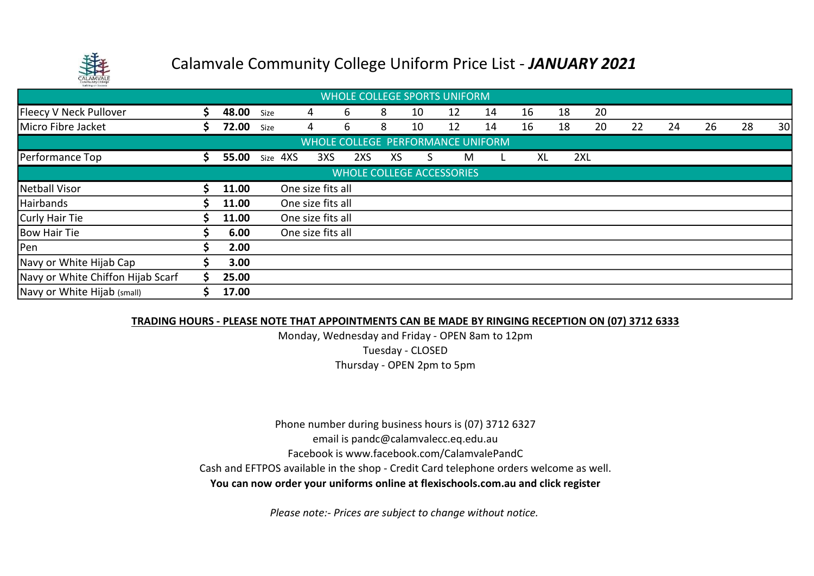

### Calamvale Community College Uniform Price List - JANUARY 2021

| <b>Butlding on Success</b>        |       |                   |                   |     |     |    |    |                                   |    |           |    |     |    |    |    |    |    |
|-----------------------------------|-------|-------------------|-------------------|-----|-----|----|----|-----------------------------------|----|-----------|----|-----|----|----|----|----|----|
|                                   |       |                   |                   |     |     |    |    | WHOLE COLLEGE SPORTS UNIFORM      |    |           |    |     |    |    |    |    |    |
| Fleecy V Neck Pullover            | 48.00 | Size              | 4                 | 6   |     | 8  | 10 | 12                                | 14 | 16        | 18 | 20  |    |    |    |    |    |
| Micro Fibre Jacket                | 72.00 | Size              | 4                 | 6   |     | 8  | 10 | 12                                | 14 | 16        | 18 | 20  | 22 | 24 | 26 | 28 | 30 |
|                                   |       |                   |                   |     |     |    |    | WHOLE COLLEGE PERFORMANCE UNIFORM |    |           |    |     |    |    |    |    |    |
| Performance Top                   | 55.00 | Size 4XS          |                   | 3XS | 2XS | XS | S  | M                                 |    | <b>XL</b> |    | 2XL |    |    |    |    |    |
|                                   |       |                   |                   |     |     |    |    | <b>WHOLE COLLEGE ACCESSORIES</b>  |    |           |    |     |    |    |    |    |    |
| Netball Visor                     | 11.00 | One size fits all |                   |     |     |    |    |                                   |    |           |    |     |    |    |    |    |    |
| Hairbands                         | 11.00 |                   | One size fits all |     |     |    |    |                                   |    |           |    |     |    |    |    |    |    |
| Curly Hair Tie                    | 11.00 |                   | One size fits all |     |     |    |    |                                   |    |           |    |     |    |    |    |    |    |
| Bow Hair Tie                      | 6.00  |                   | One size fits all |     |     |    |    |                                   |    |           |    |     |    |    |    |    |    |
| Pen                               | 2.00  |                   |                   |     |     |    |    |                                   |    |           |    |     |    |    |    |    |    |
| Navy or White Hijab Cap           | 3.00  |                   |                   |     |     |    |    |                                   |    |           |    |     |    |    |    |    |    |
| Navy or White Chiffon Hijab Scarf | 25.00 |                   |                   |     |     |    |    |                                   |    |           |    |     |    |    |    |    |    |
| Navy or White Hijab (small)       | 17.00 |                   |                   |     |     |    |    |                                   |    |           |    |     |    |    |    |    |    |

#### TRADING HOURS - PLEASE NOTE THAT APPOINTMENTS CAN BE MADE BY RINGING RECEPTION ON (07) 3712 6333

Monday, Wednesday and Friday - OPEN 8am to 12pm Tuesday - CLOSED Thursday - OPEN 2pm to 5pm

Phone number during business hours is (07) 3712 6327 email is pandc@calamvalecc.eq.edu.au Facebook is www.facebook.com/CalamvalePandC You can now order your uniforms online at flexischools.com.au and click register Cash and EFTPOS available in the shop - Credit Card telephone orders welcome as well.

Please note:- Prices are subject to change without notice.